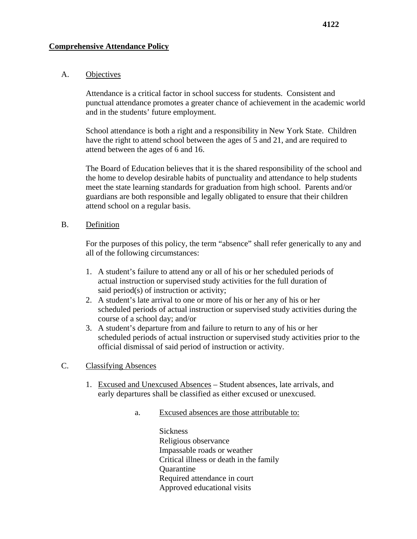#### A. Objectives

Attendance is a critical factor in school success for students. Consistent and punctual attendance promotes a greater chance of achievement in the academic world and in the students' future employment.

School attendance is both a right and a responsibility in New York State. Children have the right to attend school between the ages of 5 and 21, and are required to attend between the ages of 6 and 16.

The Board of Education believes that it is the shared responsibility of the school and the home to develop desirable habits of punctuality and attendance to help students meet the state learning standards for graduation from high school. Parents and/or guardians are both responsible and legally obligated to ensure that their children attend school on a regular basis.

#### B. Definition

For the purposes of this policy, the term "absence" shall refer generically to any and all of the following circumstances:

- 1. A student's failure to attend any or all of his or her scheduled periods of actual instruction or supervised study activities for the full duration of said period(s) of instruction or activity;
- 2. A student's late arrival to one or more of his or her any of his or her scheduled periods of actual instruction or supervised study activities during the course of a school day; and/or
- 3. A student's departure from and failure to return to any of his or her scheduled periods of actual instruction or supervised study activities prior to the official dismissal of said period of instruction or activity.

### C. Classifying Absences

- 1. Excused and Unexcused Absences Student absences, late arrivals, and early departures shall be classified as either excused or unexcused.
	- a. Excused absences are those attributable to:

**Sickness** Religious observance Impassable roads or weather Critical illness or death in the family **Ouarantine** Required attendance in court Approved educational visits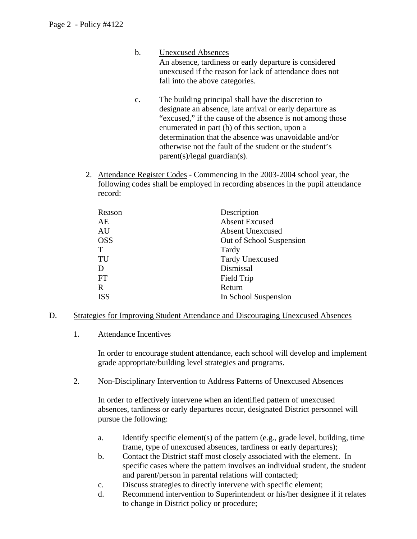- b. Unexcused Absences An absence, tardiness or early departure is considered unexcused if the reason for lack of attendance does not fall into the above categories.
- c. The building principal shall have the discretion to designate an absence, late arrival or early departure as "excused," if the cause of the absence is not among those enumerated in part (b) of this section, upon a determination that the absence was unavoidable and/or otherwise not the fault of the student or the student's parent(s)/legal guardian(s).
- 2. Attendance Register Codes Commencing in the 2003-2004 school year, the following codes shall be employed in recording absences in the pupil attendance record:

| Reason      | Description              |
|-------------|--------------------------|
| AE          | <b>Absent Excused</b>    |
| AU          | <b>Absent Unexcused</b>  |
| <b>OSS</b>  | Out of School Suspension |
| T           | Tardy                    |
| TU          | <b>Tardy Unexcused</b>   |
| D           | Dismissal                |
| FT          | Field Trip               |
| $\mathbf R$ | Return                   |
| <b>ISS</b>  | In School Suspension     |
|             |                          |

- D. Strategies for Improving Student Attendance and Discouraging Unexcused Absences
	- 1. Attendance Incentives

In order to encourage student attendance, each school will develop and implement grade appropriate/building level strategies and programs.

2. Non-Disciplinary Intervention to Address Patterns of Unexcused Absences

In order to effectively intervene when an identified pattern of unexcused absences, tardiness or early departures occur, designated District personnel will pursue the following:

- a. Identify specific element(s) of the pattern (e.g., grade level, building, time frame, type of unexcused absences, tardiness or early departures);
- b. Contact the District staff most closely associated with the element. In specific cases where the pattern involves an individual student, the student and parent/person in parental relations will contacted;
- c. Discuss strategies to directly intervene with specific element;
- d. Recommend intervention to Superintendent or his/her designee if it relates to change in District policy or procedure;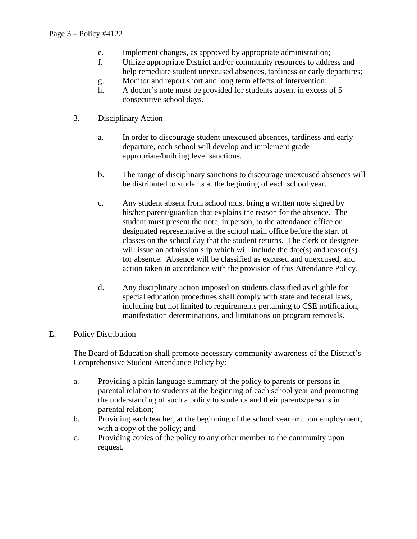- e. Implement changes, as approved by appropriate administration;
- f. Utilize appropriate District and/or community resources to address and help remediate student unexcused absences, tardiness or early departures;
- g. Monitor and report short and long term effects of intervention;
- h. A doctor's note must be provided for students absent in excess of 5 consecutive school days.

# 3. Disciplinary Action

- a. In order to discourage student unexcused absences, tardiness and early departure, each school will develop and implement grade appropriate/building level sanctions.
- b. The range of disciplinary sanctions to discourage unexcused absences will be distributed to students at the beginning of each school year.
- c. Any student absent from school must bring a written note signed by his/her parent/guardian that explains the reason for the absence. The student must present the note, in person, to the attendance office or designated representative at the school main office before the start of classes on the school day that the student returns. The clerk or designee will issue an admission slip which will include the date(s) and reason(s) for absence. Absence will be classified as excused and unexcused, and action taken in accordance with the provision of this Attendance Policy.
- d. Any disciplinary action imposed on students classified as eligible for special education procedures shall comply with state and federal laws, including but not limited to requirements pertaining to CSE notification, manifestation determinations, and limitations on program removals.

## E. Policy Distribution

The Board of Education shall promote necessary community awareness of the District's Comprehensive Student Attendance Policy by:

- a. Providing a plain language summary of the policy to parents or persons in parental relation to students at the beginning of each school year and promoting the understanding of such a policy to students and their parents/persons in parental relation;
- b. Providing each teacher, at the beginning of the school year or upon employment, with a copy of the policy; and
- c. Providing copies of the policy to any other member to the community upon request.